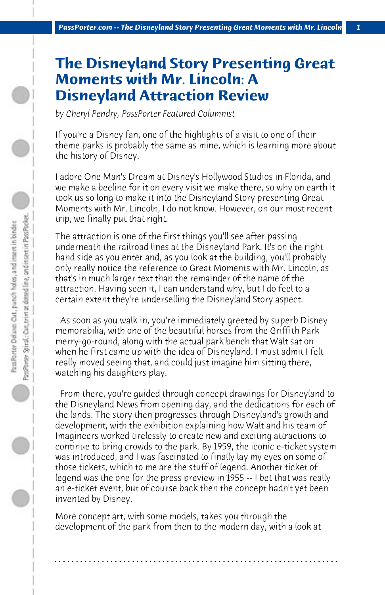## **The Disneyland Story Presenting Great Moments with Mr. Lincoln: A Disneyland Attraction Review**

*by Cheryl Pendry, PassPorter Featured Columnist*

If you're a Disney fan, one of the highlights of a visit to one of their theme parks is probably the same as mine, which is learning more about the history of Disney.

I adore One Man's Dream at Disney's Hollywood Studios in Florida, and we make a beeline for it on every visit we make there, so why on earth it took us so long to make it into the Disneyland Story presenting Great Moments with Mr. Lincoln, I do not know. However, on our most recent trip, we finally put that right.

The attraction is one of the first things you'll see after passing underneath the railroad lines at the Disneyland Park. It's on the right hand side as you enter and, as you look at the building, you'll probably only really notice the reference to Great Moments with Mr. Lincoln, as that's in much larger text than the remainder of the name of the attraction. Having seen it, I can understand why, but I do feel to a certain extent they're underselling the Disneyland Story aspect.

 As soon as you walk in, you're immediately greeted by superb Disney memorabilia, with one of the beautiful horses from the Griffith Park merry-go-round, along with the actual park bench that Walt sat on when he first came up with the idea of Disneyland. I must admit I felt really moved seeing that, and could just imagine him sitting there, watching his daughters play.

 From there, you're guided through concept drawings for Disneyland to the Disneyland News from opening day, and the dedications for each of the lands. The story then progresses through Disneyland's growth and development, with the exhibition explaining how Walt and his team of Imagineers worked tirelessly to create new and exciting attractions to continue to bring crowds to the park. By 1959, the iconic e-ticket system was introduced, and I was fascinated to finally lay my eyes on some of those tickets, which to me are the stuff of legend. Another ticket of legend was the one for the press preview in 1955 -- I bet that was really an e-ticket event, but of course back then the concept hadn't yet been invented by Disney.

More concept art, with some models, takes you through the development of the park from then to the modern day, with a look at

**. . . . . . . . . . . . . . . . . . . . . . . . . . . . . . . . . . . . . . . . . . . . . . . . . . . . . . . . . . . . . . . . . .**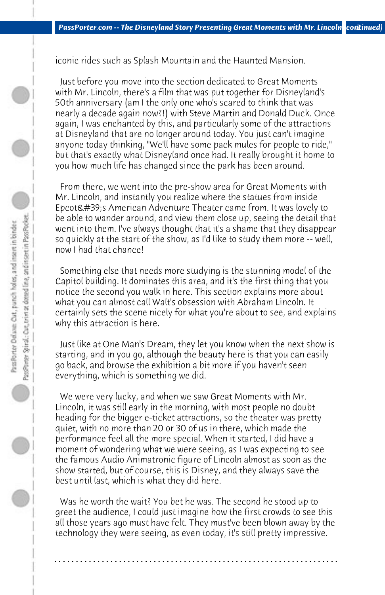iconic rides such as Splash Mountain and the Haunted Mansion.

 Just before you move into the section dedicated to Great Moments with Mr. Lincoln, there's a film that was put together for Disneyland's 50th anniversary (am I the only one who's scared to think that was nearly a decade again now?!) with Steve Martin and Donald Duck. Once again, I was enchanted by this, and particularly some of the attractions at Disneyland that are no longer around today. You just can't imagine anyone today thinking, "We'll have some pack mules for people to ride," but that's exactly what Disneyland once had. It really brought it home to you how much life has changed since the park has been around.

 From there, we went into the pre-show area for Great Moments with Mr. Lincoln, and instantly you realize where the statues from inside Epcot's American Adventure Theater came from. It was lovely to be able to wander around, and view them close up, seeing the detail that went into them. I've always thought that it's a shame that they disappear so quickly at the start of the show, as I'd like to study them more -- well, now I had that chance!

 Something else that needs more studying is the stunning model of the Capitol building. It dominates this area, and it's the first thing that you notice the second you walk in here. This section explains more about what you can almost call Walt's obsession with Abraham Lincoln. It certainly sets the scene nicely for what you're about to see, and explains why this attraction is here.

 Just like at One Man's Dream, they let you know when the next show is starting, and in you go, although the beauty here is that you can easily go back, and browse the exhibition a bit more if you haven't seen everything, which is something we did.

 We were very lucky, and when we saw Great Moments with Mr. Lincoln, it was still early in the morning, with most people no doubt heading for the bigger e-ticket attractions, so the theater was pretty quiet, with no more than 20 or 30 of us in there, which made the performance feel all the more special. When it started, I did have a moment of wondering what we were seeing, as I was expecting to see the famous Audio Animatronic figure of Lincoln almost as soon as the show started, but of course, this is Disney, and they always save the best until last, which is what they did here.

 Was he worth the wait? You bet he was. The second he stood up to greet the audience, I could just imagine how the first crowds to see this all those years ago must have felt. They must've been blown away by the technology they were seeing, as even today, it's still pretty impressive.

**. . . . . . . . . . . . . . . . . . . . . . . . . . . . . . . . . . . . . . . . . . . . . . . . . . . . . . . . . . . . . . . . . .**